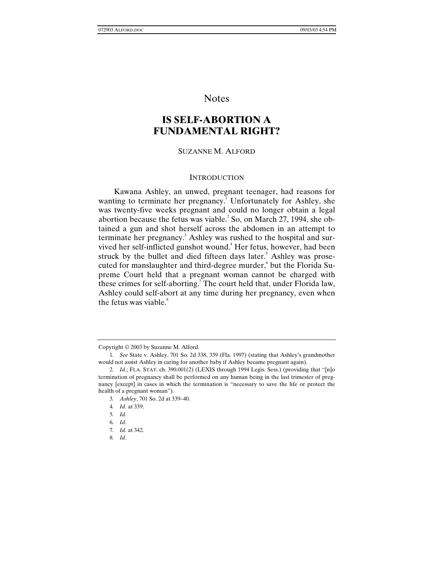# Notes

# **IS SELF-ABORTION A FUNDAMENTAL RIGHT?**

## SUZANNE M. ALFORD

#### **INTRODUCTION**

Kawana Ashley, an unwed, pregnant teenager, had reasons for wanting to terminate her pregnancy.<sup>1</sup> Unfortunately for Ashley, she was twenty-five weeks pregnant and could no longer obtain a legal abortion because the fetus was viable. $^{2}$  So, on March 27, 1994, she obtained a gun and shot herself across the abdomen in an attempt to terminate her pregnancy.<sup>3</sup> Ashley was rushed to the hospital and survived her self-inflicted gunshot wound.<sup>4</sup> Her fetus, however, had been struck by the bullet and died fifteen days later.<sup>5</sup> Ashley was prosecuted for manslaughter and third-degree murder, but the Florida Supreme Court held that a pregnant woman cannot be charged with these crimes for self-aborting.<sup>7</sup> The court held that, under Florida law, Ashley could self-abort at any time during her pregnancy, even when the fetus was viable. $8<sup>8</sup>$ 

Copyright © 2003 by Suzanne M. Alford.

<sup>1</sup>*. See* State v. Ashley, 701 So. 2d 338, 339 (Fla. 1997) (stating that Ashley's grandmother would not assist Ashley in caring for another baby if Ashley became pregnant again).

<sup>2</sup>*. Id*.; FLA. STAT. ch. 390.001(2) (LEXIS through 1994 Legis. Sess.) (providing that "[n]o termination of pregnancy shall be performed on any human being in the last trimester of pregnancy [except] in cases in which the termination is "necessary to save the life or protect the health of a pregnant woman").

<sup>3</sup>*. Ashley*, 701 So. 2d at 339–40.

<sup>4</sup>*. Id.* at 339.

<sup>5</sup>*. Id*.

<sup>6</sup>*. Id*.

<sup>7</sup>*. Id.* at 342.

<sup>8</sup>*. Id*.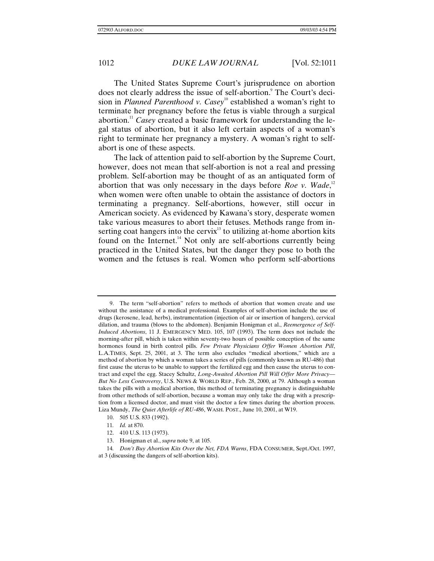The United States Supreme Court's jurisprudence on abortion does not clearly address the issue of self-abortion.<sup>9</sup> The Court's decision in *Planned Parenthood v. Casey*<sup>10</sup> established a woman's right to terminate her pregnancy before the fetus is viable through a surgical abortion.11 *Casey* created a basic framework for understanding the legal status of abortion, but it also left certain aspects of a woman's right to terminate her pregnancy a mystery. A woman's right to selfabort is one of these aspects.

The lack of attention paid to self-abortion by the Supreme Court, however, does not mean that self-abortion is not a real and pressing problem. Self-abortion may be thought of as an antiquated form of abortion that was only necessary in the days before *Roe v. Wade*,<sup>12</sup> when women were often unable to obtain the assistance of doctors in terminating a pregnancy. Self-abortions, however, still occur in American society. As evidenced by Kawana's story, desperate women take various measures to abort their fetuses. Methods range from inserting coat hangers into the cervix $13$  to utilizing at-home abortion kits found on the Internet. $14}$  Not only are self-abortions currently being practiced in the United States, but the danger they pose to both the women and the fetuses is real. Women who perform self-abortions

<sup>9.</sup> The term "self-abortion" refers to methods of abortion that women create and use without the assistance of a medical professional. Examples of self-abortion include the use of drugs (kerosene, lead, herbs), instrumentation (injection of air or insertion of hangers), cervical dilation, and trauma (blows to the abdomen). Benjamin Honigman et al., *Reemergence of Self-Induced Abortions*, 11 J. EMERGENCY MED. 105, 107 (1993). The term does not include the morning-after pill, which is taken within seventy-two hours of possible conception of the same hormones found in birth control pills. *Few Private Physicians Offer Women Abortion Pill*, L.A.TIMES, Sept. 25, 2001, at 3. The term also excludes "medical abortions," which are a method of abortion by which a woman takes a series of pills (commonly known as RU-486) that first cause the uterus to be unable to support the fertilized egg and then cause the uterus to contract and expel the egg. Stacey Schultz, *Long-Awaited Abortion Pill Will Offer More Privacy— But No Less Controversy*, U.S. NEWS & WORLD REP., Feb. 28, 2000, at 79. Although a woman takes the pills with a medical abortion, this method of terminating pregnancy is distinguishable from other methods of self-abortion, because a woman may only take the drug with a prescription from a licensed doctor, and must visit the doctor a few times during the abortion process. Liza Mundy, *The Quiet Afterlife of RU-486*, WASH. POST., June 10, 2001, at W19.

<sup>10. 505</sup> U.S. 833 (1992).

<sup>11</sup>*. Id.* at 870.

<sup>12. 410</sup> U.S. 113 (1973).

<sup>13.</sup> Honigman et al., *supra* note 9, at 105.

<sup>14</sup>*. Don't Buy Abortion Kits Over the Net, FDA Warns*, FDA CONSUMER, Sept./Oct. 1997,

at 3 (discussing the dangers of self-abortion kits).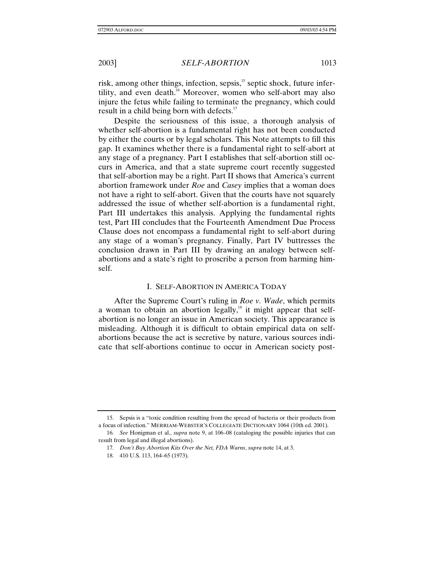risk, among other things, infection, sepsis,<sup>15</sup> septic shock, future infertility, and even death.16 Moreover, women who self-abort may also injure the fetus while failing to terminate the pregnancy, which could result in a child being born with defects. $17$ 

Despite the seriousness of this issue, a thorough analysis of whether self-abortion is a fundamental right has not been conducted by either the courts or by legal scholars. This Note attempts to fill this gap. It examines whether there is a fundamental right to self-abort at any stage of a pregnancy. Part I establishes that self-abortion still occurs in America, and that a state supreme court recently suggested that self-abortion may be a right. Part II shows that America's current abortion framework under *Roe* and *Casey* implies that a woman does not have a right to self-abort. Given that the courts have not squarely addressed the issue of whether self-abortion is a fundamental right, Part III undertakes this analysis. Applying the fundamental rights test, Part III concludes that the Fourteenth Amendment Due Process Clause does not encompass a fundamental right to self-abort during any stage of a woman's pregnancy. Finally, Part IV buttresses the conclusion drawn in Part III by drawing an analogy between selfabortions and a state's right to proscribe a person from harming himself.

## I. SELF-ABORTION IN AMERICA TODAY

After the Supreme Court's ruling in *Roe v. Wade*, which permits a woman to obtain an abortion legally,<sup>18</sup> it might appear that selfabortion is no longer an issue in American society. This appearance is misleading. Although it is difficult to obtain empirical data on selfabortions because the act is secretive by nature, various sources indicate that self-abortions continue to occur in American society post-

<sup>15.</sup> Sepsis is a "toxic condition resulting from the spread of bacteria or their products from a focus of infection." MERRIAM-WEBSTER'S COLLEGIATE DICTIONARY 1064 (10th ed. 2001).

<sup>16</sup>*. See* Honigman et al., *supra* note 9, at 106–08 (cataloging the possible injuries that can result from legal and illegal abortions).

<sup>17</sup>*. Don't Buy Abortion Kits Over the Net, FDA Warns*, *supra* note 14, at 3.

<sup>18. 410</sup> U.S. 113, 164–65 (1973).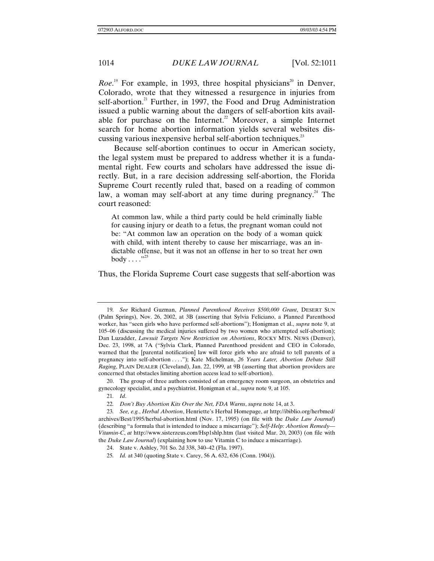*Roe.*<sup>19</sup> For example, in 1993, three hospital physicians<sup>20</sup> in Denver, Colorado, wrote that they witnessed a resurgence in injuries from self-abortion.<sup>21</sup> Further, in 1997, the Food and Drug Administration issued a public warning about the dangers of self-abortion kits available for purchase on the Internet.<sup>22</sup> Moreover, a simple Internet search for home abortion information yields several websites discussing various inexpensive herbal self-abortion techniques.<sup>23</sup>

Because self-abortion continues to occur in American society, the legal system must be prepared to address whether it is a fundamental right. Few courts and scholars have addressed the issue directly. But, in a rare decision addressing self-abortion, the Florida Supreme Court recently ruled that, based on a reading of common law, a woman may self-abort at any time during pregnancy.<sup>24</sup> The court reasoned:

At common law, while a third party could be held criminally liable for causing injury or death to a fetus, the pregnant woman could not be: "At common law an operation on the body of a woman quick with child, with intent thereby to cause her miscarriage, was an indictable offense, but it was not an offense in her to so treat her own body  $\dots$ ."<sup>25</sup>

Thus, the Florida Supreme Court case suggests that self-abortion was

20. The group of three authors consisted of an emergency room surgeon, an obstetrics and gynecology specialist, and a psychiatrist. Honigman et al., *supra* note 9, at 105.

<sup>19</sup>*. See* Richard Guzman, *Planned Parenthood Receives \$500,000 Grant*, DESERT SUN (Palm Springs), Nov. 26, 2002, at 3B (asserting that Sylvia Feliciano, a Planned Parenthood worker, has "seen girls who have performed self-abortions"); Honigman et al., *supra* note 9, at 105–06 (discussing the medical injuries suffered by two women who attempted self-abortion); Dan Luzadder, *Lawsuit Targets New Restriction on Abortions*, ROCKY MTN. NEWS (Denver), Dec. 23, 1998, at 7A ("Sylvia Clark, Planned Parenthood president and CEO in Colorado, warned that the [parental notification] law will force girls who are afraid to tell parents of a pregnancy into self-abortion . . . ."); Kate Michelman, *26 Years Later, Abortion Debate Still Raging*, PLAIN DEALER (Cleveland), Jan. 22, 1999, at 9B (asserting that abortion providers are concerned that obstacles limiting abortion access lead to self-abortion).

<sup>21</sup>*. Id*.

<sup>22</sup>*. Don't Buy Abortion Kits Over the Net, FDA Warns*, *supra* note 14, at 3.

<sup>23</sup>*. See, e.g.*, *Herbal Abortion*, Henriette's Herbal Homepage, *at* http://ibiblio.org/herbmed/ archives/Best/1995/herbal-abortion.html (Nov. 17, 1995) (on file with the *Duke Law Journal*) (describing "a formula that is intended to induce a miscarriage"); *Self-Help: Abortion Remedy— Vitamin-C*, *at* http://www.sisterzeus.com/Hsp1shlp.htm (last visited Mar. 20, 2003) (on file with the *Duke Law Journal*) (explaining how to use Vitamin C to induce a miscarriage).

<sup>24.</sup> State v. Ashley, 701 So. 2d 338, 340–42 (Fla. 1997).

<sup>25</sup>*. Id.* at 340 (quoting State v. Carey, 56 A. 632, 636 (Conn. 1904)).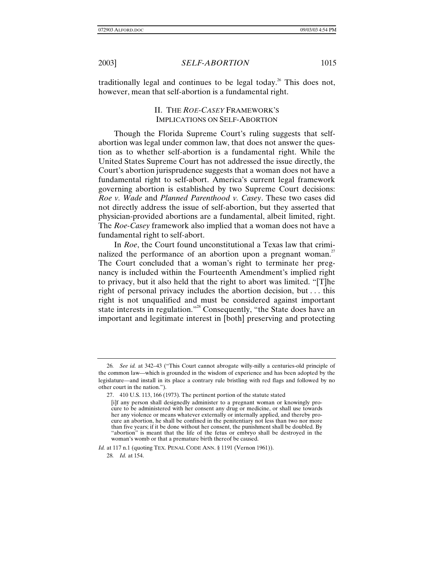traditionally legal and continues to be legal today.<sup>26</sup> This does not, however, mean that self-abortion is a fundamental right.

# II. THE *ROE*-*CASEY* FRAMEWORK'S IMPLICATIONS ON SELF-ABORTION

Though the Florida Supreme Court's ruling suggests that selfabortion was legal under common law, that does not answer the question as to whether self-abortion is a fundamental right. While the United States Supreme Court has not addressed the issue directly, the Court's abortion jurisprudence suggests that a woman does not have a fundamental right to self-abort. America's current legal framework governing abortion is established by two Supreme Court decisions: *Roe v. Wade* and *Planned Parenthood v. Casey*. These two cases did not directly address the issue of self-abortion, but they asserted that physician-provided abortions are a fundamental, albeit limited, right. The *Roe*-*Casey* framework also implied that a woman does not have a fundamental right to self-abort.

In *Roe*, the Court found unconstitutional a Texas law that criminalized the performance of an abortion upon a pregnant woman.<sup>27</sup> The Court concluded that a woman's right to terminate her pregnancy is included within the Fourteenth Amendment's implied right to privacy, but it also held that the right to abort was limited. "[T]he right of personal privacy includes the abortion decision, but . . . this right is not unqualified and must be considered against important state interests in regulation."<sup>28</sup> Consequently, "the State does have an important and legitimate interest in [both] preserving and protecting

<sup>26</sup>*. See id.* at 342–43 ("This Court cannot abrogate willy-nilly a centuries-old principle of the common law—which is grounded in the wisdom of experience and has been adopted by the legislature—and install in its place a contrary rule bristling with red flags and followed by no other court in the nation.").

<sup>27. 410</sup> U.S. 113, 166 (1973). The pertinent portion of the statute stated

<sup>[</sup>i]f any person shall designedly administer to a pregnant woman or knowingly procure to be administered with her consent any drug or medicine, or shall use towards her any violence or means whatever externally or internally applied, and thereby procure an abortion, he shall be confined in the penitentiary not less than two nor more than five years; if it be done without her consent, the punishment shall be doubled. By "abortion" is meant that the life of the fetus or embryo shall be destroyed in the woman's womb or that a premature birth thereof be caused.

*Id.* at 117 n.1 (quoting TEX. PENAL CODE ANN. § 1191 (Vernon 1961)).

<sup>28</sup>*. Id.* at 154.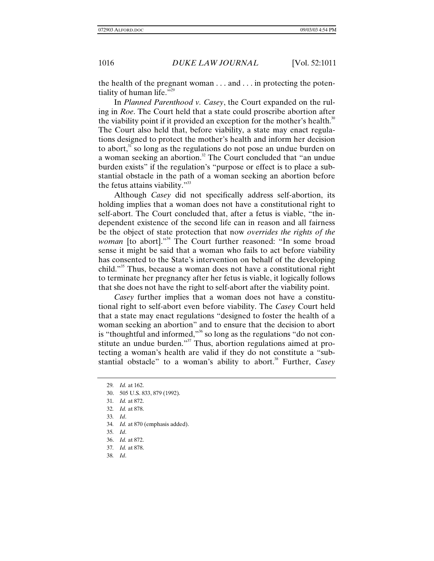the health of the pregnant woman . . . and . . . in protecting the potentiality of human life."<sup>29</sup>

In *Planned Parenthood v. Casey*, the Court expanded on the ruling in *Roe*. The Court held that a state could proscribe abortion after the viability point if it provided an exception for the mother's health.<sup>30</sup> The Court also held that, before viability, a state may enact regulations designed to protect the mother's health and inform her decision to abort, $31$  so long as the regulations do not pose an undue burden on a woman seeking an abortion.<sup>32</sup> The Court concluded that "an undue" burden exists" if the regulation's "purpose or effect is to place a substantial obstacle in the path of a woman seeking an abortion before the fetus attains viability."<sup>33</sup>

Although *Casey* did not specifically address self-abortion, its holding implies that a woman does not have a constitutional right to self-abort. The Court concluded that, after a fetus is viable, "the independent existence of the second life can in reason and all fairness be the object of state protection that now *overrides the rights of the woman* [to abort]."<sup>34</sup> The Court further reasoned: "In some broad sense it might be said that a woman who fails to act before viability has consented to the State's intervention on behalf of the developing child."35 Thus, because a woman does not have a constitutional right to terminate her pregnancy after her fetus is viable, it logically follows that she does not have the right to self-abort after the viability point.

*Casey* further implies that a woman does not have a constitutional right to self-abort even before viability. The *Casey* Court held that a state may enact regulations "designed to foster the health of a woman seeking an abortion" and to ensure that the decision to abort is "thoughtful and informed,"<sup>36</sup> so long as the regulations "do not constitute an undue burden."<sup>37</sup> Thus, abortion regulations aimed at protecting a woman's health are valid if they do not constitute a "substantial obstacle" to a woman's ability to abort.<sup>38</sup> Further, *Casey* 

31*. Id.* at 872.

- 33*. Id*.
- 34*. Id.* at 870 (emphasis added).
- 35*. Id*.
- 36. *Id.* at 872.
- 37*. Id.* at 878.
- 38*. Id*.

<sup>29</sup>*. Id.* at 162.

<sup>30. 505</sup> U.S. 833, 879 (1992).

<sup>32</sup>*. Id.* at 878.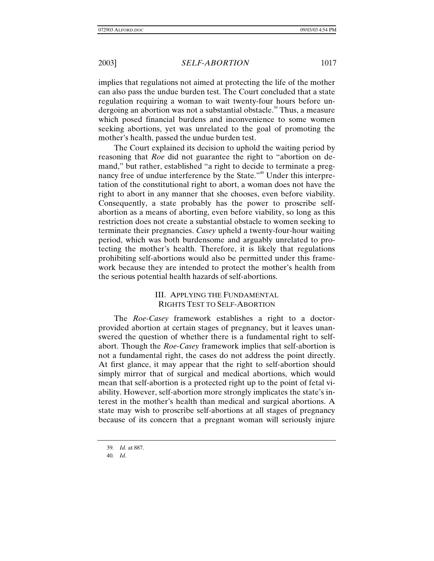implies that regulations not aimed at protecting the life of the mother can also pass the undue burden test. The Court concluded that a state regulation requiring a woman to wait twenty-four hours before undergoing an abortion was not a substantial obstacle.<sup>39</sup> Thus, a measure which posed financial burdens and inconvenience to some women seeking abortions, yet was unrelated to the goal of promoting the mother's health, passed the undue burden test.

The Court explained its decision to uphold the waiting period by reasoning that *Roe* did not guarantee the right to "abortion on demand," but rather, established "a right to decide to terminate a pregnancy free of undue interference by the State."<sup>40</sup> Under this interpretation of the constitutional right to abort, a woman does not have the right to abort in any manner that she chooses, even before viability. Consequently, a state probably has the power to proscribe selfabortion as a means of aborting, even before viability, so long as this restriction does not create a substantial obstacle to women seeking to terminate their pregnancies. *Casey* upheld a twenty-four-hour waiting period, which was both burdensome and arguably unrelated to protecting the mother's health. Therefore, it is likely that regulations prohibiting self-abortions would also be permitted under this framework because they are intended to protect the mother's health from the serious potential health hazards of self-abortions.

# III. APPLYING THE FUNDAMENTAL RIGHTS TEST TO SELF-ABORTION

The *Roe-Casey* framework establishes a right to a doctorprovided abortion at certain stages of pregnancy, but it leaves unanswered the question of whether there is a fundamental right to selfabort. Though the *Roe-Casey* framework implies that self-abortion is not a fundamental right, the cases do not address the point directly. At first glance, it may appear that the right to self-abortion should simply mirror that of surgical and medical abortions, which would mean that self-abortion is a protected right up to the point of fetal viability. However, self-abortion more strongly implicates the state's interest in the mother's health than medical and surgical abortions. A state may wish to proscribe self-abortions at all stages of pregnancy because of its concern that a pregnant woman will seriously injure

<sup>39</sup>*. Id.* at 887.

<sup>40</sup>*. Id*.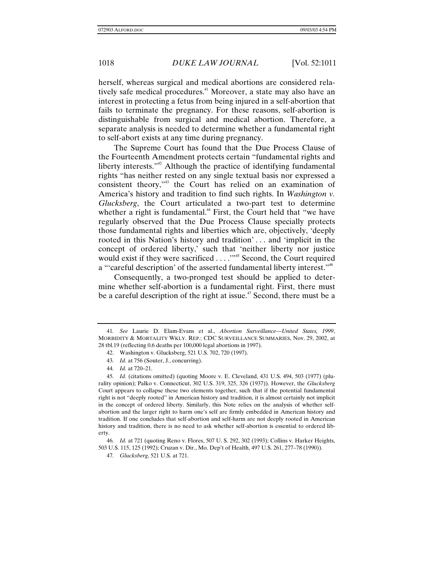herself, whereas surgical and medical abortions are considered relatively safe medical procedures.<sup>41</sup> Moreover, a state may also have an interest in protecting a fetus from being injured in a self-abortion that fails to terminate the pregnancy. For these reasons, self-abortion is distinguishable from surgical and medical abortion. Therefore, a separate analysis is needed to determine whether a fundamental right to self-abort exists at any time during pregnancy.

The Supreme Court has found that the Due Process Clause of the Fourteenth Amendment protects certain "fundamental rights and liberty interests."<sup>42</sup> Although the practice of identifying fundamental rights "has neither rested on any single textual basis nor expressed a consistent theory,"43 the Court has relied on an examination of America's history and tradition to find such rights. In *Washington v. Glucksberg*, the Court articulated a two-part test to determine whether a right is fundamental.<sup>44</sup> First, the Court held that "we have regularly observed that the Due Process Clause specially protects those fundamental rights and liberties which are, objectively, 'deeply rooted in this Nation's history and tradition' . . . and 'implicit in the concept of ordered liberty,' such that 'neither liberty nor justice would exist if they were sacrificed . . . . . . . . . . . Second, the Court required a "'careful description' of the asserted fundamental liberty interest."<sup>46</sup>

Consequently, a two-pronged test should be applied to determine whether self-abortion is a fundamental right. First, there must be a careful description of the right at issue.<sup> $47$ </sup> Second, there must be a

<sup>41</sup>*. See* Laurie D. Elam-Evans et al., *Abortion Surveillance—United States, 1999*, MORBIDITY & MORTALITY WKLY. REP.: CDC SURVEILLANCE SUMMARIES, Nov. 29, 2002, at 28 tbl.19 (reflecting 0.6 deaths per 100,000 legal abortions in 1997).

<sup>42.</sup> Washington v. Glucksberg, 521 U.S. 702, 720 (1997).

<sup>43</sup>*. Id.* at 756 (Souter, J., concurring).

<sup>44</sup>*. Id.* at 720–21.

<sup>45</sup>*. Id.* (citations omitted) (quoting Moore v. E. Cleveland, 431 U.S. 494, 503 (1977) (plurality opinion); Palko v. Connecticut, 302 U.S. 319, 325, 326 (1937)). However, the *Glucksberg* Court appears to collapse these two elements together, such that if the potential fundamental right is not "deeply rooted" in American history and tradition, it is almost certainly not implicit in the concept of ordered liberty. Similarly, this Note relies on the analysis of whether selfabortion and the larger right to harm one's self are firmly embedded in American history and tradition. If one concludes that self-abortion and self-harm are not deeply rooted in American history and tradition, there is no need to ask whether self-abortion is essential to ordered liberty.

<sup>46</sup>*. Id.* at 721 (quoting Reno v. Flores, 507 U. S. 292, 302 (1993); Collins v. Harker Heights, 503 U.S. 115, 125 (1992); Cruzan v. Dir., Mo. Dep't of Health, 497 U.S. 261, 277–78 (1990)).

<sup>47</sup>*. Glucksberg*, 521 U.S. at 721.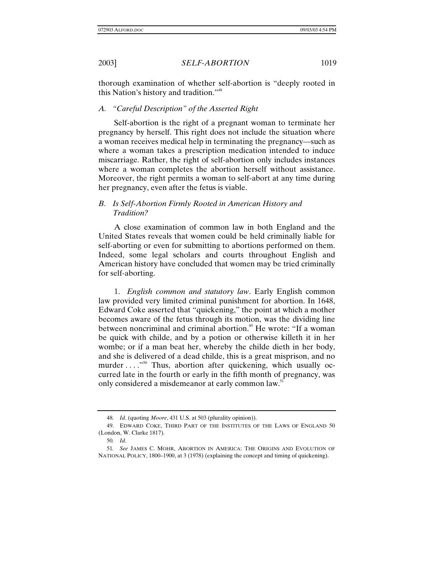thorough examination of whether self-abortion is "deeply rooted in this Nation's history and tradition."<sup>48</sup>

## *A. "Careful Description" of the Asserted Right*

Self-abortion is the right of a pregnant woman to terminate her pregnancy by herself. This right does not include the situation where a woman receives medical help in terminating the pregnancy—such as where a woman takes a prescription medication intended to induce miscarriage. Rather, the right of self-abortion only includes instances where a woman completes the abortion herself without assistance. Moreover, the right permits a woman to self-abort at any time during her pregnancy, even after the fetus is viable.

# *B. Is Self-Abortion Firmly Rooted in American History and Tradition?*

A close examination of common law in both England and the United States reveals that women could be held criminally liable for self-aborting or even for submitting to abortions performed on them. Indeed, some legal scholars and courts throughout English and American history have concluded that women may be tried criminally for self-aborting.

1. *English common and statutory law*. Early English common law provided very limited criminal punishment for abortion. In 1648, Edward Coke asserted that "quickening," the point at which a mother becomes aware of the fetus through its motion, was the dividing line between noncriminal and criminal abortion.<sup>49</sup> He wrote: "If a woman be quick with childe, and by a potion or otherwise killeth it in her wombe; or if a man beat her, whereby the childe dieth in her body, and she is delivered of a dead childe, this is a great misprison, and no murder . . . . . . . . Thus, abortion after quickening, which usually occurred late in the fourth or early in the fifth month of pregnancy, was only considered a misdemeanor at early common law.<sup>51</sup>

<sup>48</sup>*. Id.* (quoting *Moore*, 431 U.S. at 503 (plurality opinion)).

<sup>49.</sup> EDWARD COKE, THIRD PART OF THE INSTITUTES OF THE LAWS OF ENGLAND 50 (London, W. Clarke 1817).

<sup>50</sup>*. Id*.

<sup>51</sup>*. See* JAMES C. MOHR, ABORTION IN AMERICA: THE ORIGINS AND EVOLUTION OF NATIONAL POLICY, 1800–1900, at 3 (1978) (explaining the concept and timing of quickening).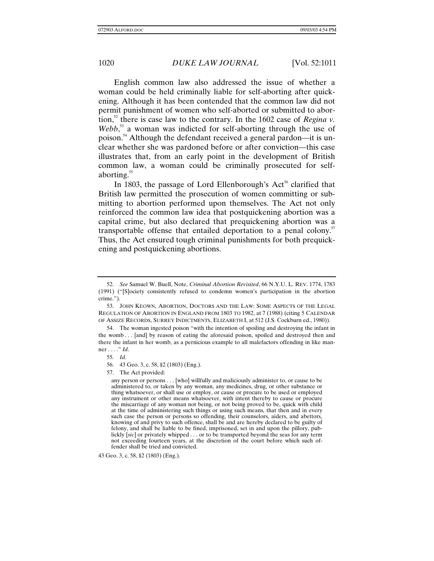English common law also addressed the issue of whether a woman could be held criminally liable for self-aborting after quickening. Although it has been contended that the common law did not permit punishment of women who self-aborted or submitted to abortion,<sup>52</sup> there is case law to the contrary. In the 1602 case of *Regina v*. Webb,<sup>53</sup> a woman was indicted for self-aborting through the use of poison.54 Although the defendant received a general pardon—it is unclear whether she was pardoned before or after conviction—this case illustrates that, from an early point in the development of British common law, a woman could be criminally prosecuted for selfaborting.<sup>55</sup>

In 1803, the passage of Lord Ellenborough's  $Act<sup>56</sup>$  clarified that British law permitted the prosecution of women committing or submitting to abortion performed upon themselves. The Act not only reinforced the common law idea that postquickening abortion was a capital crime, but also declared that prequickening abortion was a transportable offense that entailed deportation to a penal colony.<sup>57</sup> Thus, the Act ensured tough criminal punishments for both prequickening and postquickening abortions.

43 Geo. 3, c. 58, §2 (1803) (Eng.).

<sup>52</sup>*. See* Samuel W. Buell, Note, *Criminal Abortion Revisited*, 66 N.Y.U. L. REV. 1774, 1783 (1991) ("[S]ociety consistently refused to condemn women's participation in the abortion crime.").

<sup>53.</sup> JOHN KEOWN, ABORTION, DOCTORS AND THE LAW: SOME ASPECTS OF THE LEGAL REGULATION OF ABORTION IN ENGLAND FROM 1803 TO 1982, at 7 (1988) (citing 5 CALENDAR OF ASSIZE RECORDS, SURREY INDICTMENTS, ELIZABETH I, at 512 (J.S. Cockburn ed., 1980)).

<sup>54.</sup> The woman ingested poison "with the intention of spoiling and destroying the infant in the womb . . . [and] by reason of eating the aforesaid poison, spoiled and destroyed then and there the infant in her womb, as a pernicious example to all malefactors offending in like manner . . . ." *Id*.

<sup>55</sup>*. Id*.

<sup>56. 43</sup> Geo. 3, c. 58, §2 (1803) (Eng.).

<sup>57.</sup> The Act provided:

any person or persons . . . [who] willfully and maliciously administer to, or cause to be administered to, or taken by any woman, any medicines, drug, or other substance or thing whatsoever, or shall use or employ, or cause or procure to be used or employed any instrument or other means whatsoever, with intent thereby to cause or procure the miscarriage of any woman not being, or not being proved to be, quick with child at the time of administering such things or using such means, that then and in every such case the person or persons so offending, their counselors, aiders, and abettors, knowing of and privy to such offence, shall be and are hereby declared to be guilty of felony, and shall be liable to be fined, imprisoned, set in and upon the pillory, publickly [*sic*] or privately whipped . . . or to be transported beyond the seas for any term not exceeding fourteen years, at the discretion of the court before which such offender shall be tried and convicted.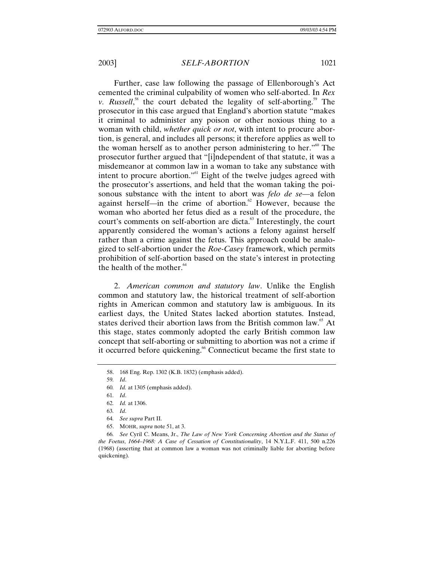Further, case law following the passage of Ellenborough's Act cemented the criminal culpability of women who self-aborted. In *Rex v. Russell*,<sup>58</sup> the court debated the legality of self-aborting.<sup>59</sup> The prosecutor in this case argued that England's abortion statute "makes it criminal to administer any poison or other noxious thing to a woman with child, *whether quick or not*, with intent to procure abortion, is general, and includes all persons; it therefore applies as well to the woman herself as to another person administering to her."60 The prosecutor further argued that "[i]ndependent of that statute, it was a misdemeanor at common law in a woman to take any substance with intent to procure abortion."<sup>61</sup> Eight of the twelve judges agreed with the prosecutor's assertions, and held that the woman taking the poisonous substance with the intent to abort was *felo de se—*a felon against herself—in the crime of abortion.<sup>62</sup> However, because the woman who aborted her fetus died as a result of the procedure, the court's comments on self-abortion are dicta.<sup>63</sup> Interestingly, the court apparently considered the woman's actions a felony against herself rather than a crime against the fetus. This approach could be analogized to self-abortion under the *Roe-Casey* framework, which permits prohibition of self-abortion based on the state's interest in protecting the health of the mother. $64$ 

2. *American common and statutory law*. Unlike the English common and statutory law, the historical treatment of self-abortion rights in American common and statutory law is ambiguous. In its earliest days, the United States lacked abortion statutes. Instead, states derived their abortion laws from the British common law.<sup>65</sup> At this stage, states commonly adopted the early British common law concept that self-aborting or submitting to abortion was not a crime if it occurred before quickening.<sup>66</sup> Connecticut became the first state to

65. MOHR, *supra* note 51, at 3.

66*. See* Cyril C. Means, Jr., *The Law of New York Concerning Abortion and the Status of the Foetus*, *1664–1968: A Case of Cessation of Constitutionality*, 14 N.Y.L.F. 411, 500 n.226 (1968) (asserting that at common law a woman was not criminally liable for aborting before quickening).

<sup>58. 168</sup> Eng. Rep. 1302 (K.B. 1832) (emphasis added).

<sup>59</sup>*. Id*.

<sup>60</sup>*. Id.* at 1305 (emphasis added).

<sup>61</sup>*. Id*.

<sup>62</sup>*. Id.* at 1306.

<sup>63</sup>*. Id*.

<sup>64</sup>*. See supra* Part II.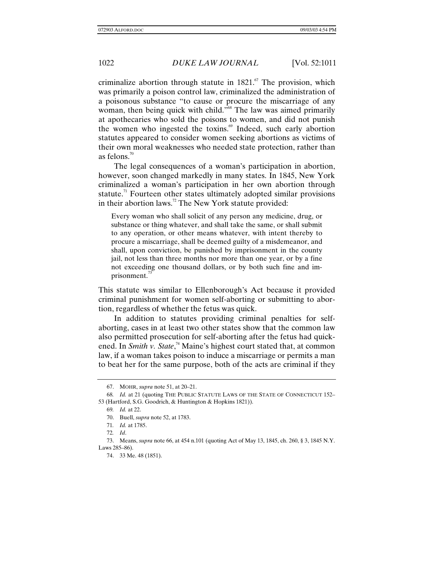criminalize abortion through statute in  $1821$ .<sup>67</sup> The provision, which was primarily a poison control law, criminalized the administration of a poisonous substance "to cause or procure the miscarriage of any woman, then being quick with child.<sup>"68</sup> The law was aimed primarily at apothecaries who sold the poisons to women, and did not punish the women who ingested the toxins. $\mathscr{F}$  Indeed, such early abortion statutes appeared to consider women seeking abortions as victims of their own moral weaknesses who needed state protection, rather than as felons. $70$ 

The legal consequences of a woman's participation in abortion, however, soon changed markedly in many states. In 1845, New York criminalized a woman's participation in her own abortion through statute.<sup>71</sup> Fourteen other states ultimately adopted similar provisions in their abortion laws.<sup>72</sup> The New York statute provided:

Every woman who shall solicit of any person any medicine, drug, or substance or thing whatever, and shall take the same, or shall submit to any operation, or other means whatever, with intent thereby to procure a miscarriage, shall be deemed guilty of a misdemeanor, and shall, upon conviction, be punished by imprisonment in the county jail, not less than three months nor more than one year, or by a fine not exceeding one thousand dollars, or by both such fine and imprisonment.<sup>13</sup>

This statute was similar to Ellenborough's Act because it provided criminal punishment for women self-aborting or submitting to abortion, regardless of whether the fetus was quick.

In addition to statutes providing criminal penalties for selfaborting, cases in at least two other states show that the common law also permitted prosecution for self-aborting after the fetus had quickened. In *Smith v. State*, 74 Maine's highest court stated that, at common law, if a woman takes poison to induce a miscarriage or permits a man to beat her for the same purpose, both of the acts are criminal if they

<sup>67.</sup> MOHR, *supra* note 51, at 20–21.

<sup>68</sup>*. Id.* at 21 (quoting THE PUBLIC STATUTE LAWS OF THE STATE OF CONNECTICUT 152– 53 (Hartford, S.G. Goodrich, & Huntington & Hopkins 1821)).

<sup>69</sup>*. Id.* at 22.

<sup>70.</sup> Buell, *supra* note 52, at 1783.

<sup>71</sup>*. Id.* at 1785.

<sup>72</sup>*. Id*.

<sup>73.</sup> Means, *supra* note 66, at 454 n.101 (quoting Act of May 13, 1845, ch. 260, § 3, 1845 N.Y. Laws 285–86).

<sup>74. 33</sup> Me. 48 (1851).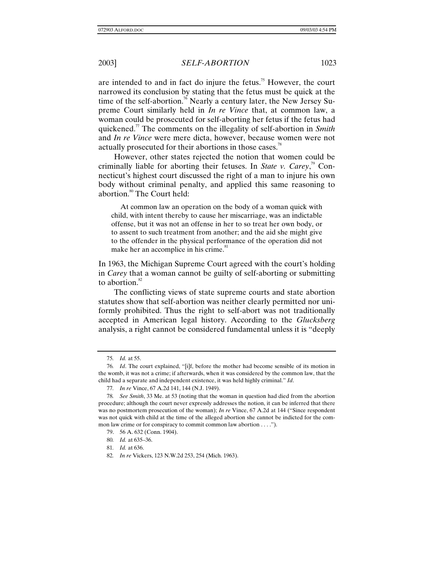are intended to and in fact do injure the fetus.<sup>75</sup> However, the court narrowed its conclusion by stating that the fetus must be quick at the time of the self-abortion.<sup>76</sup> Nearly a century later, the New Jersey Supreme Court similarly held in *In re Vince* that, at common law, a woman could be prosecuted for self-aborting her fetus if the fetus had quickened.77 The comments on the illegality of self-abortion in *Smith* and *In re Vince* were mere dicta, however, because women were not actually prosecuted for their abortions in those cases.<sup>78</sup>

However, other states rejected the notion that women could be criminally liable for aborting their fetuses. In *State v. Carey*, 79 Connecticut's highest court discussed the right of a man to injure his own body without criminal penalty, and applied this same reasoning to abortion. $80$  The Court held:

At common law an operation on the body of a woman quick with child, with intent thereby to cause her miscarriage, was an indictable offense, but it was not an offense in her to so treat her own body, or to assent to such treatment from another; and the aid she might give to the offender in the physical performance of the operation did not make her an accomplice in his crime.<sup>81</sup>

In 1963, the Michigan Supreme Court agreed with the court's holding in *Carey* that a woman cannot be guilty of self-aborting or submitting to abortion. $82$ 

The conflicting views of state supreme courts and state abortion statutes show that self-abortion was neither clearly permitted nor uniformly prohibited. Thus the right to self-abort was not traditionally accepted in American legal history. According to the *Glucksberg* analysis, a right cannot be considered fundamental unless it is "deeply

<sup>75</sup>*. Id.* at 55.

<sup>76</sup>*. Id*. The court explained, "[i]f, before the mother had become sensible of its motion in the womb, it was not a crime; if afterwards, when it was considered by the common law, that the child had a separate and independent existence, it was held highly criminal." *Id*.

<sup>77</sup>*. In re* Vince, 67 A.2d 141, 144 (N.J. 1949).

<sup>78</sup>*. See Smith*, 33 Me. at 53 (noting that the woman in question had died from the abortion procedure; although the court never expressly addresses the notion, it can be inferred that there was no postmortem prosecution of the woman); *In re* Vince, 67 A.2d at 144 ("Since respondent was not quick with child at the time of the alleged abortion she cannot be indicted for the common law crime or for conspiracy to commit common law abortion . . . .").

<sup>79. 56</sup> A. 632 (Conn. 1904).

<sup>80</sup>*. Id.* at 635–36.

<sup>81</sup>*. Id.* at 636.

<sup>82</sup>*. In re* Vickers, 123 N.W.2d 253, 254 (Mich. 1963).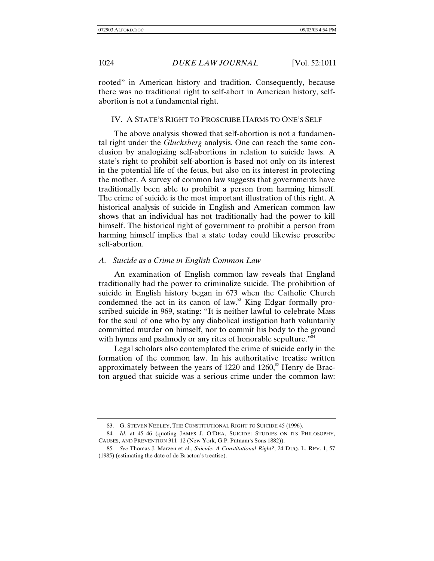rooted" in American history and tradition. Consequently, because there was no traditional right to self-abort in American history, selfabortion is not a fundamental right.

### IV. A STATE'S RIGHT TO PROSCRIBE HARMS TO ONE'S SELF

The above analysis showed that self-abortion is not a fundamental right under the *Glucksberg* analysis. One can reach the same conclusion by analogizing self-abortions in relation to suicide laws. A state's right to prohibit self-abortion is based not only on its interest in the potential life of the fetus, but also on its interest in protecting the mother. A survey of common law suggests that governments have traditionally been able to prohibit a person from harming himself. The crime of suicide is the most important illustration of this right. A historical analysis of suicide in English and American common law shows that an individual has not traditionally had the power to kill himself. The historical right of government to prohibit a person from harming himself implies that a state today could likewise proscribe self-abortion.

#### *A. Suicide as a Crime in English Common Law*

An examination of English common law reveals that England traditionally had the power to criminalize suicide. The prohibition of suicide in English history began in 673 when the Catholic Church condemned the act in its canon of law.<sup>83</sup> King Edgar formally proscribed suicide in 969, stating: "It is neither lawful to celebrate Mass for the soul of one who by any diabolical instigation hath voluntarily committed murder on himself, nor to commit his body to the ground with hymns and psalmody or any rites of honorable sepulture."<sup>84</sup>

Legal scholars also contemplated the crime of suicide early in the formation of the common law. In his authoritative treatise written approximately between the years of  $1220$  and  $1260$ ,<sup>85</sup> Henry de Bracton argued that suicide was a serious crime under the common law:

<sup>83.</sup> G. STEVEN NEELEY, THE CONSTITUTIONAL RIGHT TO SUICIDE 45 (1996).

<sup>84</sup>*. Id.* at 45–46 (quoting JAMES J. O'DEA, SUICIDE: STUDIES ON ITS PHILOSOPHY, CAUSES, AND PREVENTION 311–12 (New York, G.P. Putnam's Sons 1882)).

<sup>85</sup>*. See* Thomas J. Marzen et al., *Suicide: A Constitutional Right?*, 24 DUQ. L. REV. 1, 57 (1985) (estimating the date of de Bracton's treatise).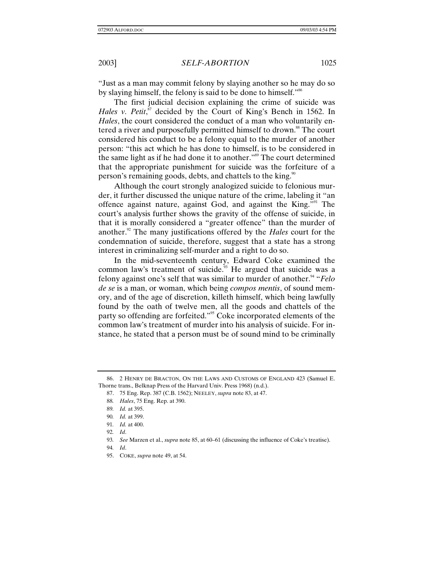"Just as a man may commit felony by slaying another so he may do so by slaying himself, the felony is said to be done to himself."<sup>86</sup>

The first judicial decision explaining the crime of suicide was Hales v. Petit,<sup>87</sup> decided by the Court of King's Bench in 1562. In *Hales*, the court considered the conduct of a man who voluntarily entered a river and purposefully permitted himself to drown.<sup>88</sup> The court considered his conduct to be a felony equal to the murder of another person: "this act which he has done to himself, is to be considered in the same light as if he had done it to another."89 The court determined that the appropriate punishment for suicide was the forfeiture of a person's remaining goods, debts, and chattels to the king.<sup>90</sup>

Although the court strongly analogized suicide to felonious murder, it further discussed the unique nature of the crime, labeling it "an offence against nature, against God, and against the King."91 The court's analysis further shows the gravity of the offense of suicide, in that it is morally considered a "greater offence" than the murder of another.<sup>92</sup> The many justifications offered by the *Hales* court for the condemnation of suicide, therefore, suggest that a state has a strong interest in criminalizing self-murder and a right to do so.

In the mid-seventeenth century, Edward Coke examined the common law's treatment of suicide.<sup>93</sup> He argued that suicide was a felony against one's self that was similar to murder of another.<sup>94</sup> "*Felo de se* is a man, or woman, which being *compos mentis*, of sound memory, and of the age of discretion, killeth himself, which being lawfully found by the oath of twelve men, all the goods and chattels of the party so offending are forfeited."95 Coke incorporated elements of the common law's treatment of murder into his analysis of suicide. For instance, he stated that a person must be of sound mind to be criminally

<sup>86. 2</sup> HENRY DE BRACTON, ON THE LAWS AND CUSTOMS OF ENGLAND 423 (Samuel E. Thorne trans., Belknap Press of the Harvard Univ. Press 1968) (n.d.).

<sup>87. 75</sup> Eng. Rep. 387 (C.B. 1562); NEELEY, *supra* note 83, at 47.

<sup>88</sup>*. Hales*, 75 Eng. Rep. at 390.

<sup>89</sup>*. Id.* at 395.

<sup>90</sup>*. Id.* at 399.

<sup>91</sup>*. Id.* at 400.

<sup>92</sup>*. Id*.

<sup>93</sup>*. See* Marzen et al., *supra* note 85, at 60–61 (discussing the influence of Coke's treatise).

<sup>94</sup>*. Id*.

<sup>95.</sup> COKE, *supra* note 49, at 54.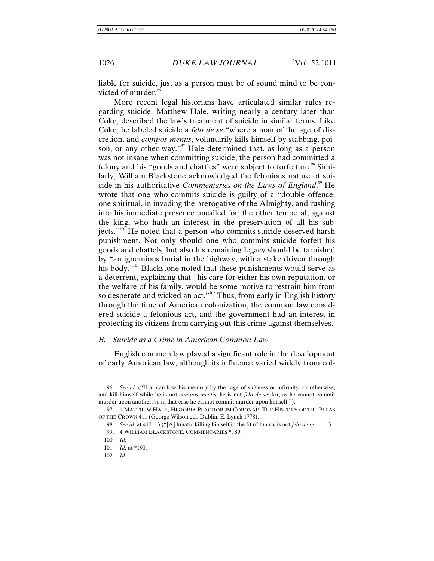liable for suicide, just as a person must be of sound mind to be convicted of murder. $96$ 

More recent legal historians have articulated similar rules regarding suicide. Matthew Hale, writing nearly a century later than Coke, described the law's treatment of suicide in similar terms. Like Coke, he labeled suicide a *felo de se* "where a man of the age of discretion, and *compos mentis*, voluntarily kills himself by stabbing, poison, or any other way."<sup>97</sup> Hale determined that, as long as a person was not insane when committing suicide, the person had committed a felony and his "goods and chattles" were subject to forfeiture.<sup>98</sup> Similarly, William Blackstone acknowledged the felonious nature of suicide in his authoritative *Commentaries on the Laws of England*.<sup>99</sup> He wrote that one who commits suicide is guilty of a "double offence; one spiritual, in invading the prerogative of the Almighty, and rushing into his immediate presence uncalled for; the other temporal, against the king, who hath an interest in the preservation of all his subjects."<sup>100</sup> He noted that a person who commits suicide deserved harsh punishment. Not only should one who commits suicide forfeit his goods and chattels, but also his remaining legacy should be tarnished by "an ignomious burial in the highway, with a stake driven through his body."<sup>101</sup> Blackstone noted that these punishments would serve as a deterrent, explaining that "his care for either his own reputation, or the welfare of his family, would be some motive to restrain him from so desperate and wicked an act."<sup>102</sup> Thus, from early in English history through the time of American colonization, the common law considered suicide a felonious act, and the government had an interest in protecting its citizens from carrying out this crime against themselves.

## *B. Suicide as a Crime in American Common Law*

English common law played a significant role in the development of early American law, although its influence varied widely from col-

<sup>96</sup>*. See id.* ("If a man lose his memory by the rage of sickness or infirmity, or otherwise, and kill himself while he is not *compos mentis*, he is not *felo de se*: for, as he cannot commit murder upon another, so in that case he cannot commit murder upon himself.").

<sup>97. 1</sup> MATTHEW HALE, HISTORIA PLACITORUM CORONAE: THE HISTORY OF THE PLEAS OF THE CROWN 411 (George Wilson ed., Dublin, E. Lynch 1778).

<sup>98</sup>*. See id.* at 412–13 ("[A] lunatic killing himself in the fit of lunacy is not *felo de se . . .* ."). 99. 4 WILLIAM BLACKSTONE, COMMENTARIES \*189.

<sup>100</sup>*. Id*.

<sup>101</sup>*. Id.* at \*190.

<sup>102</sup>*. Id*.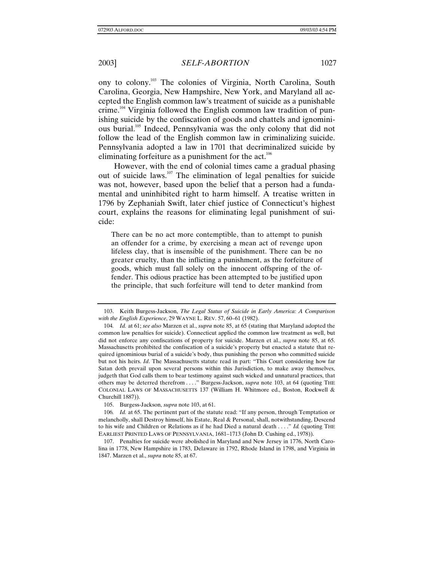ony to colony.103 The colonies of Virginia, North Carolina, South Carolina, Georgia, New Hampshire, New York, and Maryland all accepted the English common law's treatment of suicide as a punishable crime.<sup>104</sup> Virginia followed the English common law tradition of punishing suicide by the confiscation of goods and chattels and ignominious burial.105 Indeed, Pennsylvania was the only colony that did not follow the lead of the English common law in criminalizing suicide. Pennsylvania adopted a law in 1701 that decriminalized suicide by eliminating forfeiture as a punishment for the  $act.^{106}$ 

However, with the end of colonial times came a gradual phasing out of suicide laws.107 The elimination of legal penalties for suicide was not, however, based upon the belief that a person had a fundamental and uninhibited right to harm himself. A treatise written in 1796 by Zephaniah Swift, later chief justice of Connecticut's highest court, explains the reasons for eliminating legal punishment of suicide:

There can be no act more contemptible, than to attempt to punish an offender for a crime, by exercising a mean act of revenge upon lifeless clay, that is insensible of the punishment. There can be no greater cruelty, than the inflicting a punishment, as the forfeiture of goods, which must fall solely on the innocent offspring of the offender. This odious practice has been attempted to be justified upon the principle, that such forfeiture will tend to deter mankind from

105. Burgess-Jackson, *supra* note 103, at 61.

106*. Id.* at 65. The pertinent part of the statute read: "If any person, through Temptation or melancholly, shall Destroy himself, his Estate, Real & Personal, shall, notwithstanding, Descend to his wife and Children or Relations as if he had Died a natural death . . . ." *Id.* (quoting THE EARLIEST PRINTED LAWS OF PENNSYLVANIA, 1681–1713 (John D. Cushing ed., 1978)).

107. Penalties for suicide were abolished in Maryland and New Jersey in 1776, North Carolina in 1778, New Hampshire in 1783, Delaware in 1792, Rhode Island in 1798, and Virginia in 1847. Marzen et al., *supra* note 85, at 67.

<sup>103.</sup> Keith Burgess-Jackson, *The Legal Status of Suicide in Early America: A Comparison with the English Experience*, 29 WAYNE L. REV. 57, 60–61 (1982).

<sup>104</sup>*. Id.* at 61; *see also* Marzen et al., *supra* note 85, at 65 (stating that Maryland adopted the common law penalties for suicide). Connecticut applied the common law treatment as well, but did not enforce any confiscations of property for suicide. Marzen et al., *supra* note 85, at 65. Massachusetts prohibited the confiscation of a suicide's property but enacted a statute that required ignominious burial of a suicide's body, thus punishing the person who committed suicide but not his heirs. *Id*. The Massachusetts statute read in part: "This Court considering how far Satan doth prevail upon several persons within this Jurisdiction, to make away themselves, judgeth that God calls them to bear testimony against such wicked and unnatural practices, that others may be deterred therefrom . . . ." Burgess-Jackson, *supra* note 103, at 64 (quoting THE COLONIAL LAWS OF MASSACHUSETTS 137 (William H. Whitmore ed., Boston, Rockwell & Churchill 1887)).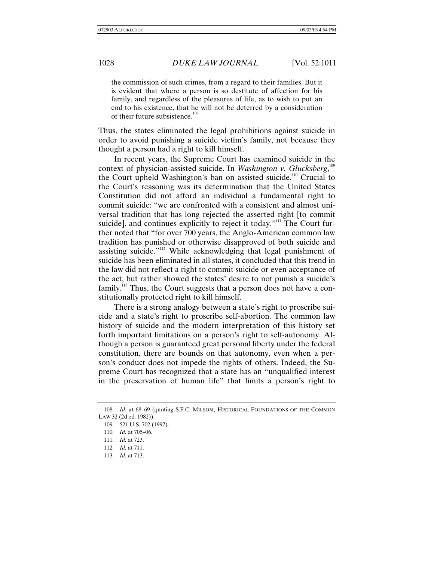the commission of such crimes, from a regard to their families. But it is evident that where a person is so destitute of affection for his family, and regardless of the pleasures of life, as to wish to put an end to his existence, that he will not be deterred by a consideration of their future subsistence.<sup>108</sup>

Thus, the states eliminated the legal prohibitions against suicide in order to avoid punishing a suicide victim's family, not because they thought a person had a right to kill himself.

In recent years, the Supreme Court has examined suicide in the context of physician-assisted suicide. In *Washington v. Glucksberg*,<sup>109</sup> the Court upheld Washington's ban on assisted suicide.<sup>110</sup> Crucial to the Court's reasoning was its determination that the United States Constitution did not afford an individual a fundamental right to commit suicide: "we are confronted with a consistent and almost universal tradition that has long rejected the asserted right [to commit suicide], and continues explicitly to reject it today."<sup>111</sup> The Court further noted that "for over 700 years, the Anglo-American common law tradition has punished or otherwise disapproved of both suicide and assisting suicide."112 While acknowledging that legal punishment of suicide has been eliminated in all states, it concluded that this trend in the law did not reflect a right to commit suicide or even acceptance of the act, but rather showed the states' desire to not punish a suicide's  $family.<sup>113</sup>$  Thus, the Court suggests that a person does not have a constitutionally protected right to kill himself.

There is a strong analogy between a state's right to proscribe suicide and a state's right to proscribe self-abortion. The common law history of suicide and the modern interpretation of this history set forth important limitations on a person's right to self-autonomy. Although a person is guaranteed great personal liberty under the federal constitution, there are bounds on that autonomy, even when a person's conduct does not impede the rights of others. Indeed, the Supreme Court has recognized that a state has an "unqualified interest in the preservation of human life" that limits a person's right to

<sup>108.</sup> *Id*. at 68–69 (quoting S.F.C. MILSOM, HISTORICAL FOUNDATIONS OF THE COMMON LAW 32 (2d ed. 1982)).

<sup>109. 521</sup> U.S. 702 (1997).

<sup>110</sup>*. Id.* at 705–06.

<sup>111</sup>*. Id.* at 723.

<sup>112</sup>*. Id.* at 711.

<sup>113</sup>*. Id.* at 713.